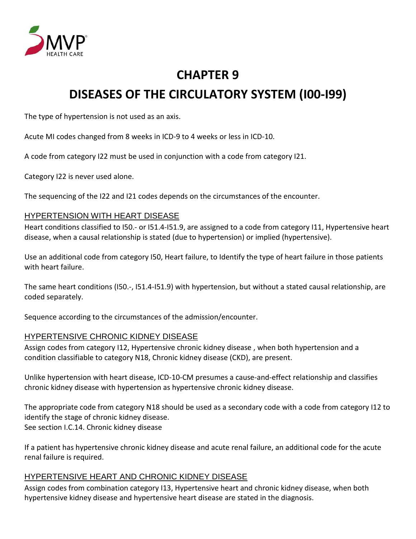

# **CHAPTER 9 DISEASES OF THE CIRCULATORY SYSTEM (I00-I99)**

The type of hypertension is not used as an axis.

Acute MI codes changed from 8 weeks in ICD-9 to 4 weeks or less in ICD-10.

A code from category I22 must be used in conjunction with a code from category I21.

Category I22 is never used alone.

The sequencing of the I22 and I21 codes depends on the circumstances of the encounter.

#### HYPERTENSION WITH HEART DISEASE

Heart conditions classified to I50.- or I51.4-I51.9, are assigned to a code from category I11, Hypertensive heart disease, when a causal relationship is stated (due to hypertension) or implied (hypertensive).

Use an additional code from category I50, Heart failure, to Identify the type of heart failure in those patients with heart failure.

The same heart conditions (I50.-, I51.4-I51.9) with hypertension, but without a stated causal relationship, are coded separately.

Sequence according to the circumstances of the admission/encounter.

#### HYPERTENSIVE CHRONIC KIDNEY DISEASE

Assign codes from category I12, Hypertensive chronic kidney disease , when both hypertension and a condition classifiable to category N18, Chronic kidney disease (CKD), are present.

Unlike hypertension with heart disease, ICD-10-CM presumes a cause-and-effect relationship and classifies chronic kidney disease with hypertension as hypertensive chronic kidney disease.

The appropriate code from category N18 should be used as a secondary code with a code from category I12 to identify the stage of chronic kidney disease. See section I.C.14. Chronic kidney disease

If a patient has hypertensive chronic kidney disease and acute renal failure, an additional code for the acute renal failure is required.

#### HYPERTENSIVE HEART AND CHRONIC KIDNEY DISEASE

Assign codes from combination category I13, Hypertensive heart and chronic kidney disease, when both hypertensive kidney disease and hypertensive heart disease are stated in the diagnosis.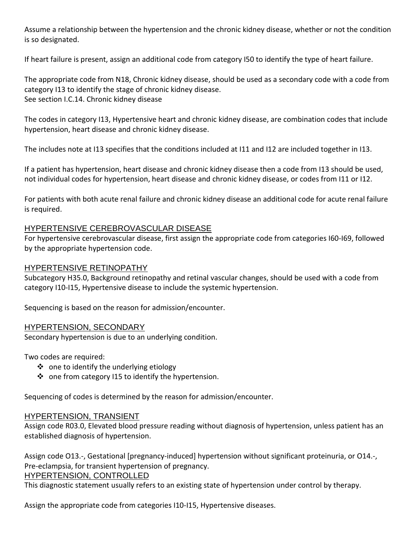Assume a relationship between the hypertension and the chronic kidney disease, whether or not the condition is so designated.

If heart failure is present, assign an additional code from category I50 to identify the type of heart failure.

The appropriate code from N18, Chronic kidney disease, should be used as a secondary code with a code from category I13 to identify the stage of chronic kidney disease. See section I.C.14. Chronic kidney disease

The codes in category I13, Hypertensive heart and chronic kidney disease, are combination codes that include hypertension, heart disease and chronic kidney disease.

The includes note at I13 specifies that the conditions included at I11 and I12 are included together in I13.

If a patient has hypertension, heart disease and chronic kidney disease then a code from I13 should be used, not individual codes for hypertension, heart disease and chronic kidney disease, or codes from I11 or I12.

For patients with both acute renal failure and chronic kidney disease an additional code for acute renal failure is required.

#### HYPERTENSIVE CEREBROVASCULAR DISEASE

For hypertensive cerebrovascular disease, first assign the appropriate code from categories I60-I69, followed by the appropriate hypertension code.

#### HYPERTENSIVE RETINOPATHY

Subcategory H35.0, Background retinopathy and retinal vascular changes, should be used with a code from category I10-I15, Hypertensive disease to include the systemic hypertension.

Sequencing is based on the reason for admission/encounter.

#### HYPERTENSION, SECONDARY

Secondary hypertension is due to an underlying condition.

Two codes are required:

- $\cdot$  one to identify the underlying etiology
- $\cdot \cdot$  one from category I15 to identify the hypertension.

Sequencing of codes is determined by the reason for admission/encounter.

#### HYPERTENSION, TRANSIENT

Assign code R03.0, Elevated blood pressure reading without diagnosis of hypertension, unless patient has an established diagnosis of hypertension.

Assign code O13.-, Gestational [pregnancy-induced] hypertension without significant proteinuria, or O14.-, Pre-eclampsia, for transient hypertension of pregnancy.

#### HYPERTENSION, CONTROLLED

This diagnostic statement usually refers to an existing state of hypertension under control by therapy.

Assign the appropriate code from categories I10-I15, Hypertensive diseases.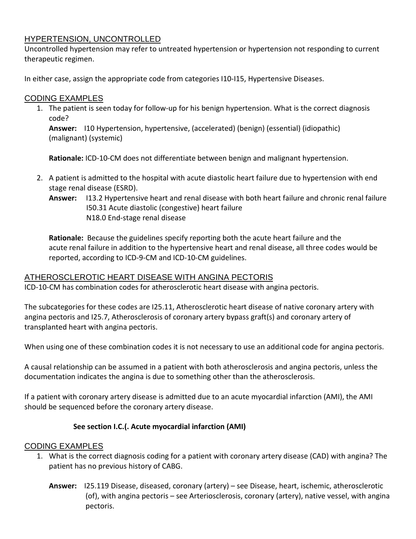# HYPERTENSION, UNCONTROLLED

Uncontrolled hypertension may refer to untreated hypertension or hypertension not responding to current therapeutic regimen.

In either case, assign the appropriate code from categories I10-I15, Hypertensive Diseases.

#### CODING EXAMPLES

1. The patient is seen today for follow-up for his benign hypertension. What is the correct diagnosis code?

**Answer:** I10 Hypertension, hypertensive, (accelerated) (benign) (essential) (idiopathic) (malignant) (systemic)

**Rationale:** ICD-10-CM does not differentiate between benign and malignant hypertension.

- 2. A patient is admitted to the hospital with acute diastolic heart failure due to hypertension with end stage renal disease (ESRD).
	- **Answer:** I13.2 Hypertensive heart and renal disease with both heart failure and chronic renal failure I50.31 Acute diastolic (congestive) heart failure N18.0 End-stage renal disease

**Rationale:** Because the guidelines specify reporting both the acute heart failure and the acute renal failure in addition to the hypertensive heart and renal disease, all three codes would be reported, according to ICD-9-CM and ICD-10-CM guidelines.

# ATHEROSCLEROTIC HEART DISEASE WITH ANGINA PECTORIS

ICD-10-CM has combination codes for atherosclerotic heart disease with angina pectoris.

The subcategories for these codes are I25.11, Atherosclerotic heart disease of native coronary artery with angina pectoris and I25.7, Atherosclerosis of coronary artery bypass graft(s) and coronary artery of transplanted heart with angina pectoris.

When using one of these combination codes it is not necessary to use an additional code for angina pectoris.

A causal relationship can be assumed in a patient with both atherosclerosis and angina pectoris, unless the documentation indicates the angina is due to something other than the atherosclerosis.

If a patient with coronary artery disease is admitted due to an acute myocardial infarction (AMI), the AMI should be sequenced before the coronary artery disease.

# **See section I.C.(. Acute myocardial infarction (AMI)**

# CODING EXAMPLES

- 1. What is the correct diagnosis coding for a patient with coronary artery disease (CAD) with angina? The patient has no previous history of CABG.
	- **Answer:** I25.119 Disease, diseased, coronary (artery) see Disease, heart, ischemic, atherosclerotic (of), with angina pectoris – see Arteriosclerosis, coronary (artery), native vessel, with angina pectoris.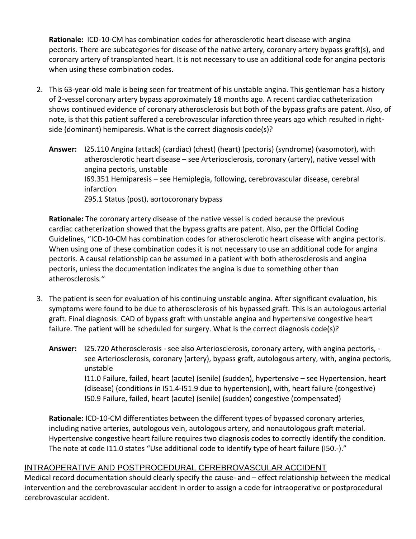**Rationale:** ICD-10-CM has combination codes for atherosclerotic heart disease with angina pectoris. There are subcategories for disease of the native artery, coronary artery bypass graft(s), and coronary artery of transplanted heart. It is not necessary to use an additional code for angina pectoris when using these combination codes.

- 2. This 63-year-old male is being seen for treatment of his unstable angina. This gentleman has a history of 2-vessel coronary artery bypass approximately 18 months ago. A recent cardiac catheterization shows continued evidence of coronary atherosclerosis but both of the bypass grafts are patent. Also, of note, is that this patient suffered a cerebrovascular infarction three years ago which resulted in rightside (dominant) hemiparesis. What is the correct diagnosis code(s)?
	- **Answer:** I25.110 Angina (attack) (cardiac) (chest) (heart) (pectoris) (syndrome) (vasomotor), with atherosclerotic heart disease – see Arteriosclerosis, coronary (artery), native vessel with angina pectoris, unstable I69.351 Hemiparesis – see Hemiplegia, following, cerebrovascular disease, cerebral infarction Z95.1 Status (post), aortocoronary bypass

**Rationale:** The coronary artery disease of the native vessel is coded because the previous cardiac catheterization showed that the bypass grafts are patent. Also, per the Official Coding Guidelines, "ICD-10-CM has combination codes for atherosclerotic heart disease with angina pectoris. When using one of these combination codes it is not necessary to use an additional code for angina pectoris. A causal relationship can be assumed in a patient with both atherosclerosis and angina pectoris, unless the documentation indicates the angina is due to something other than atherosclerosis*."* 

- 3. The patient is seen for evaluation of his continuing unstable angina. After significant evaluation, his symptoms were found to be due to atherosclerosis of his bypassed graft. This is an autologous arterial graft. Final diagnosis: CAD of bypass graft with unstable angina and hypertensive congestive heart failure. The patient will be scheduled for surgery. What is the correct diagnosis code(s)?
	- **Answer:** I25.720 Atherosclerosis see also Arteriosclerosis, coronary artery, with angina pectoris, see Arteriosclerosis, coronary (artery), bypass graft, autologous artery, with, angina pectoris, unstable I11.0 Failure, failed, heart (acute) (senile) (sudden), hypertensive – see Hypertension, heart (disease) (conditions in I51.4-I51.9 due to hypertension), with, heart failure (congestive) I50.9 Failure, failed, heart (acute) (senile) (sudden) congestive (compensated)

**Rationale:** ICD-10-CM differentiates between the different types of bypassed coronary arteries, including native arteries, autologous vein, autologous artery, and nonautologous graft material. Hypertensive congestive heart failure requires two diagnosis codes to correctly identify the condition. The note at code I11.0 states "Use additional code to identify type of heart failure (I50.-)."

# INTRAOPERATIVE AND POSTPROCEDURAL CEREBROVASCULAR ACCIDENT

Medical record documentation should clearly specify the cause- and – effect relationship between the medical intervention and the cerebrovascular accident in order to assign a code for intraoperative or postprocedural cerebrovascular accident.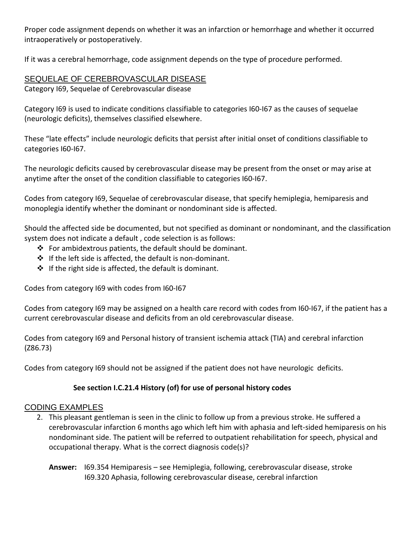Proper code assignment depends on whether it was an infarction or hemorrhage and whether it occurred intraoperatively or postoperatively.

If it was a cerebral hemorrhage, code assignment depends on the type of procedure performed.

# SEQUELAE OF CEREBROVASCULAR DISEASE

Category I69, Sequelae of Cerebrovascular disease

Category I69 is used to indicate conditions classifiable to categories I60-I67 as the causes of sequelae (neurologic deficits), themselves classified elsewhere.

These "late effects" include neurologic deficits that persist after initial onset of conditions classifiable to categories I60-I67.

The neurologic deficits caused by cerebrovascular disease may be present from the onset or may arise at anytime after the onset of the condition classifiable to categories I60-I67.

Codes from category I69, Sequelae of cerebrovascular disease, that specify hemiplegia, hemiparesis and monoplegia identify whether the dominant or nondominant side is affected.

Should the affected side be documented, but not specified as dominant or nondominant, and the classification system does not indicate a default , code selection is as follows:

- $\div$  For ambidextrous patients, the default should be dominant.
- $\div$  If the left side is affected, the default is non-dominant.
- $\div$  If the right side is affected, the default is dominant.

Codes from category I69 with codes from I60-I67

Codes from category I69 may be assigned on a health care record with codes from I60-I67, if the patient has a current cerebrovascular disease and deficits from an old cerebrovascular disease.

Codes from category I69 and Personal history of transient ischemia attack (TIA) and cerebral infarction (Z86.73)

Codes from category I69 should not be assigned if the patient does not have neurologic deficits.

# **See section I.C.21.4 History (of) for use of personal history codes**

# CODING EXAMPLES

- 2. This pleasant gentleman is seen in the clinic to follow up from a previous stroke. He suffered a cerebrovascular infarction 6 months ago which left him with aphasia and left-sided hemiparesis on his nondominant side. The patient will be referred to outpatient rehabilitation for speech, physical and occupational therapy. What is the correct diagnosis code(s)?
	- **Answer:** I69.354 Hemiparesis see Hemiplegia, following, cerebrovascular disease, stroke I69.320 Aphasia, following cerebrovascular disease, cerebral infarction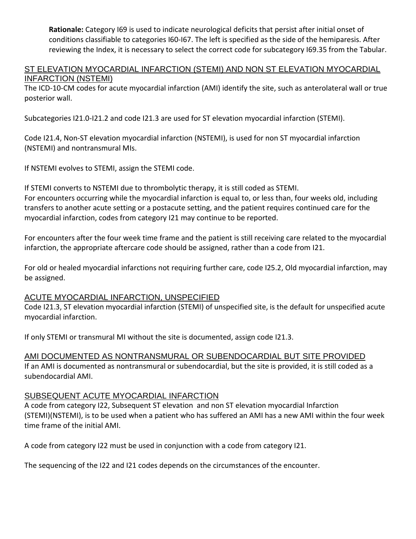**Rationale:** Category I69 is used to indicate neurological deficits that persist after initial onset of conditions classifiable to categories I60-I67. The left is specified as the side of the hemiparesis. After reviewing the Index, it is necessary to select the correct code for subcategory I69.35 from the Tabular.

#### ST ELEVATION MYOCARDIAL INFARCTION (STEMI) AND NON ST ELEVATION MYOCARDIAL INFARCTION (NSTEMI)

The ICD-10-CM codes for acute myocardial infarction (AMI) identify the site, such as anterolateral wall or true posterior wall.

Subcategories I21.0-I21.2 and code I21.3 are used for ST elevation myocardial infarction (STEMI).

Code I21.4, Non-ST elevation myocardial infarction (NSTEMI), is used for non ST myocardial infarction (NSTEMI) and nontransmural MIs.

If NSTEMI evolves to STEMI, assign the STEMI code.

If STEMI converts to NSTEMI due to thrombolytic therapy, it is still coded as STEMI. For encounters occurring while the myocardial infarction is equal to, or less than, four weeks old, including transfers to another acute setting or a postacute setting, and the patient requires continued care for the myocardial infarction, codes from category I21 may continue to be reported.

For encounters after the four week time frame and the patient is still receiving care related to the myocardial infarction, the appropriate aftercare code should be assigned, rather than a code from I21.

For old or healed myocardial infarctions not requiring further care, code I25.2, Old myocardial infarction, may be assigned.

# ACUTE MYOCARDIAL INFARCTION, UNSPECIFIED

Code I21.3, ST elevation myocardial infarction (STEMI) of unspecified site, is the default for unspecified acute myocardial infarction.

If only STEMI or transmural MI without the site is documented, assign code I21.3.

# AMI DOCUMENTED AS NONTRANSMURAL OR SUBENDOCARDIAL BUT SITE PROVIDED

If an AMI is documented as nontransmural or subendocardial, but the site is provided, it is still coded as a subendocardial AMI.

# SUBSEQUENT ACUTE MYOCARDIAL INFARCTION

A code from category I22, Subsequent ST elevation and non ST elevation myocardial Infarction (STEMI)(NSTEMI), is to be used when a patient who has suffered an AMI has a new AMI within the four week time frame of the initial AMI.

A code from category I22 must be used in conjunction with a code from category I21.

The sequencing of the I22 and I21 codes depends on the circumstances of the encounter.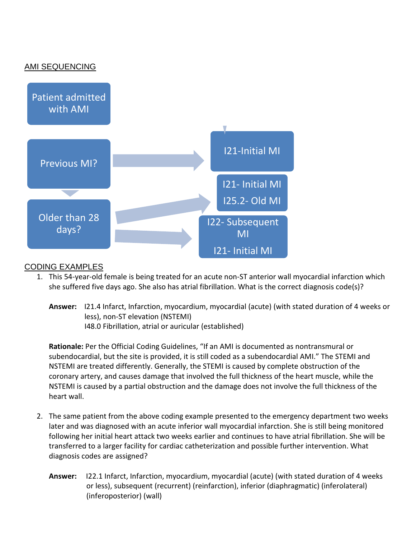# AMI SEQUENCING



# CODING EXAMPLES

- 1. This 54-year-old female is being treated for an acute non-ST anterior wall myocardial infarction which she suffered five days ago. She also has atrial fibrillation. What is the correct diagnosis code(s)?
	- **Answer:** I21.4 Infarct, Infarction, myocardium, myocardial (acute) (with stated duration of 4 weeks or less), non-ST elevation (NSTEMI) I48.0 Fibrillation, atrial or auricular (established)

**Rationale:** Per the Official Coding Guidelines, "If an AMI is documented as nontransmural or subendocardial, but the site is provided, it is still coded as a subendocardial AMI." The STEMI and NSTEMI are treated differently. Generally, the STEMI is caused by complete obstruction of the coronary artery, and causes damage that involved the full thickness of the heart muscle, while the NSTEMI is caused by a partial obstruction and the damage does not involve the full thickness of the heart wall.

- 2. The same patient from the above coding example presented to the emergency department two weeks later and was diagnosed with an acute inferior wall myocardial infarction. She is still being monitored following her initial heart attack two weeks earlier and continues to have atrial fibrillation. She will be transferred to a larger facility for cardiac catheterization and possible further intervention. What diagnosis codes are assigned?
	- **Answer:** I22.1 Infarct, Infarction, myocardium, myocardial (acute) (with stated duration of 4 weeks or less), subsequent (recurrent) (reinfarction), inferior (diaphragmatic) (inferolateral) (inferoposterior) (wall)